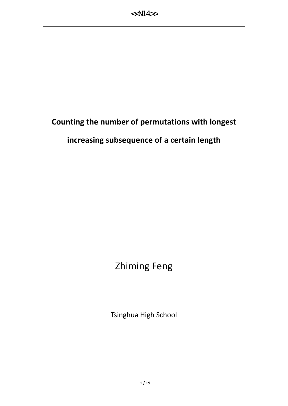# **Counting the number of permutations with longest**

### **increasing subsequence of a certain length**

# Zhiming Feng

Tsinghua High School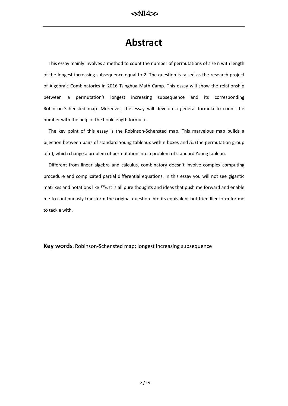## **Abstract**

 This essay mainly involves a method to count the number of permutations of size n with length of the longest increasing subsequence equal to 2. The question is raised as the research project of Algebraic Combinatorics in 2016 Tsinghua Math Camp. This essay will show the relationship between a permutation's longest increasing subsequence and its corresponding Robinson-Schensted map. Moreover, the essay will develop a general formula to count the number with the help of the hook length formula.

 The key point of this essay is the Robinson-Schensted map. This marvelous map builds a bijection between pairs of standard Young tableaux with n boxes and *S<sup>n</sup>* (the permutation group of n), which change a problem of permutation into a problem of standard Young tableau.

 Different from linear algebra and calculus, combinatory doesn't involve complex computing procedure and complicated partial differential equations. In this essay you will not see gigantic matrixes and notations like  $\varGamma^{k}{}_{ij}$ . It is all pure thoughts and ideas that push me forward and enable me to continuously transform the original question into its equivalent but friendlier form for me to tackle with.

**Key words**: Robinson-Schensted map; longest increasing subsequence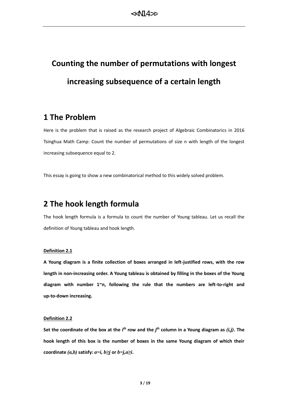# **Counting the number of permutations with longest increasing subsequence of a certain length**

### **1 The Problem**

Here is the problem that is raised as the research project of Algebraic Combinatorics in 2016 Tsinghua Math Camp: Count the number of permutations of size n with length of the longest increasing subsequence equal to 2.

This essay is going to show a new combinatorical method to this widely solved problem.

### **2 The hook length formula**

The hook length formula is a formula to count the number of Young tableau. Let us recall the definition of Young tableau and hook length.

#### **Definition 2.1**

**A Young diagram is a finite collection of boxes arranged in left-justified rows, with the row length in non-increasing order. A Young tableau is obtained by filling in the boxes of the Young diagram with number 1~n, following the rule that the numbers are left-to-right and up-to-down increasing.**

#### **Definition 2.2**

Set the coordinate of the box at the  $i^{th}$  row and the  $j^{th}$  column in a Young diagram as  $(i,j)$ . The **hook length of this box is the number of boxes in the same Young diagram of which their coordinate**  $(a,b)$  **satisfy:**  $a=i$ ,  $b \geq j$  **or**  $b=j$ ,  $a \geq i$ .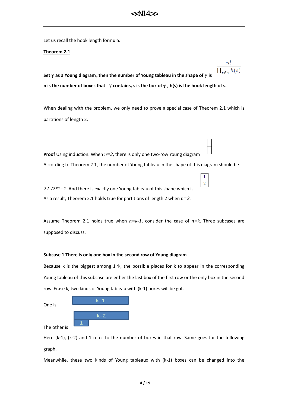$n!$ 

 $\mathbf{1}$  $\overline{2}$ 

Let us recall the hook length formula.

#### **Theorem 2.1**

 $\prod_{s\in\gamma}h(s)$ **Set**γ**as a Young diagram**,**then the number of Young tableau in the shape of**γ**is n is the number of boxes that** γ**contains, s is the box of**γ**, h(s) is the hook length of s.**

When dealing with the problem, we only need to prove a special case of Theorem 2.1 which is partitions of length 2.

**Proof** Using induction. When  $n=2$ , there is only one two-row Young diagram

According to Theorem 2.1, the number of Young tableau in the shape of this diagram should be

*2*!*/2\*1=1*. And there is exactly one Young tableau of this shape which is As a result, Theorem 2.1 holds true for partitions of length 2 when *n=2*.

Assume Theorem 2.1 holds true when *n=k-1*, consider the case of *n=k*. Three subcases are supposed to discuss.

#### **Subcase 1 There is only one box in the second row of Young diagram**

Because k is the biggest among  $1 \times k$ , the possible places for k to appear in the corresponding Young tableau of this subcase are either the last box of the first row or the only box in the second row. Erase k, two kinds of Young tableau with (k-1) boxes will be got.

| One is       | $k-1$ |
|--------------|-------|
|              |       |
|              | $k-2$ |
| The other is |       |

Here (k-1), (k-2) and 1 refer to the number of boxes in that row. Same goes for the following graph.

Meanwhile, these two kinds of Young tableaux with (k-1) boxes can be changed into the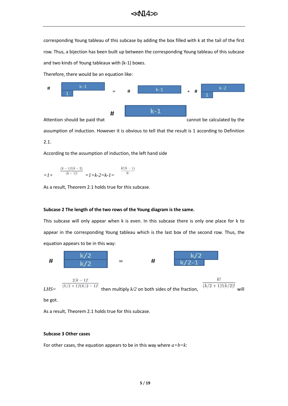corresponding Young tableau of this subcase by adding the box filled with k at the tail of the first row. Thus, a bijection has been built up between the corresponding Young tableau of this subcase and two kinds of Young tableaux with (k-1) boxes.

Therefore, there would be an equation like:



assumption of induction. However it is obvious to tell that the result is 1 according to Definition

2.1.

According to the assumption of induction, the left hand side

$$
= I + \frac{\frac{(k-1)!(k-2)}{(k-1)!}}{1} = I + k - 2 = k - I = \frac{k!(k-1)}{k!}
$$

As a result, Theorem 2.1 holds true for this subcase.

#### **Subcase 2 The length of the two rows of the Young diagram is the same.**

This subcase will only appear when k is even. In this subcase there is only one place for k to appear in the corresponding Young tableau which is the last box of the second row. Thus, the equation appears to be in this way:



be got.

As a result, Theorem 2.1 holds true for this subcase.

#### **Subcase 3 Other cases**

For other cases, the equation appears to be in this way where  $a+b=k$ :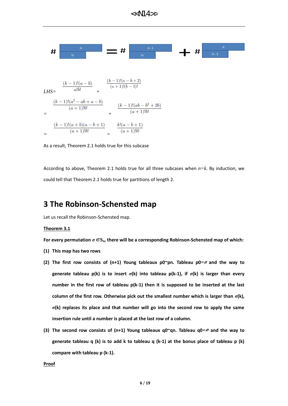$<<$ N14>>

$$
LHS = \frac{\frac{(k-1)!(a-b)}{a!b!} + \frac{\frac{(k-1)!(a-b+2)}{(a+1)!(b-1)!}}{a+1}}{b}
$$
  
= 
$$
\frac{\frac{(k-1)!(a^2 - ab + a - b)}{(a+1)!b!}}{b+1} + \frac{\frac{(k-1)!(ab-b^2 + 2b)}{(a+1)!b!}}{b+1}
$$
  
= 
$$
\frac{\frac{(k-1)!(a+b)(a-b+1)}{(a+1)!b!}}{b+1} = \frac{k!(a-b+1)}{(a+1)!b!}
$$

As a result, Theorem 2.1 holds true for this subcase

According to above, Theorem 2.1 holds true for all three subcases when *n=k*. By induction, we could tell that Theorem 2.1 holds true for partitions of length 2.

### **3 The Robinson-Schensted map**

Let us recall the Robinson-Schensted map.

#### **Theorem 3.1**

**For every permutation** *σ*∈*Sn***, there will be a corresponding Robinson-Schensted map of which:**

- **(1) This map has two rows**
- **(2) The first row consists of (n+1) Young tableaux p0~pn. Tableau p0***=*<sup>∅</sup> **and the way to generate tableau p(k) is to insert** *σ***(k) into tableau p(k-1), if** *σ***(k) is larger than every number in the first row of tableau p(k-1) then it is supposed to be inserted at the last column of the first row. Otherwise pick out the smallest number which is larger than**  $\sigma(k)$ **,** *σ***(k) replaces its place and that number will go into the second row to apply the same insertion rule until a number is placed at the last row of a column.**
- **(3) The second row consists of (n+1) Young tableaux q0~qn. Tableau q0***=*<sup>∅</sup> **and the way to generate tableau q (k) is to add k to tableau q (k-1) at the bonus place of tableau p (k) compare with tableau p (k-1).**

**Proof**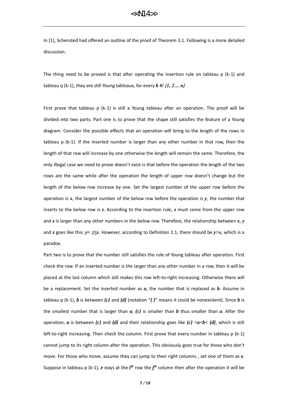In [1], Schensted had offered an outline of the proof of Theorem 3.1. Following is a more detailed discussion.

The thing need to be proved is that after operating the insertion rule on tableau  $p (k-1)$  and tableau q (k-1), they are still Young tableaux, for every  $k \in \{1, 2, \ldots n\}$ 

First prove that tableau  $p$  (k-1) is still a Young tableau after an operation. The proof will be divided into two parts. Part one is to prove that the shape still satisfies the feature of a Young diagram. Consider the possible effects that an operation will bring to the length of the rows in tableau p (k-1). If the inserted number is larger than any other number in that row, then the length of that row will increase by one otherwise the length will remain the same. Therefore, the only illegal case we need to prove doesn't exist is that before the operation the length of the two rows are the same while after the operation the length of upper row doesn't change but the length of the below row increase by one. Set the largest number of the upper row before the operation is *x*, the largest number of the below row before the operation is *y*, the number that inserts to the below row is  $z$ . According to the insertion rule,  $z$  must come from the upper row and *z* is larger than any other numbers in the below row. Therefore, the relationship between *x*, *y* and *z* goes like this: *y< z≤x*. However, according to Definition 2.1, there should be *y>x*, which is a paradox.

Part two is to prove that the number still satisfies the rule of Young tableau after operation. First check the row. If an inserted number is the larger than any other number in a row, then it will be placed at the last column which still makes this row left-to-right increasing. Otherwise there will be a replacement. Set the inserted number as *a*, the number that is replaced as *b*. Assume in tableau p (k-1), *b* is between *{c}* and *{d}* (notation "*{ }*" means it could be nonexistent). Since *b* is the smallest number that is larger than *a*, *{c}* is smaller than *b* thus smaller than *a*. After the operation, *a* is between  ${c}$  and  ${d}$  and their relationship goes like  ${c}$  <a<br/><br/> ${c}$  <a<br/>( ${d}$ ), which is still left-to-right increasing. Then check the column. First prove that every number in tableau p (k-1) cannot jump to its right column after the operation. This obviously goes true for those who don't move. For those who move, assume they can jump to their right columns , set one of them as *e*. Suppose in tableau p (k-1), e stays at the *i*<sup>th</sup> row the *j*<sup>th</sup> column then after the operation it will be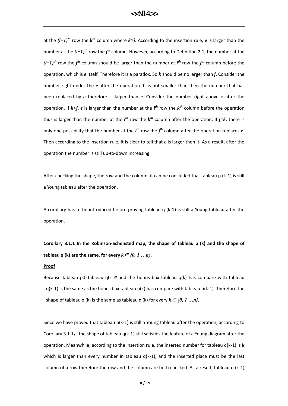at the  $(i+1)^{th}$  row the  $k^{th}$  column where  $k$  $> j$ . According to the insertion rule,  $e$  is larger than the number at the  $(i+1)^{th}$  row the  $j^{th}$  column. However, according to Definition 2.1, the number at the  $(i+1)$ <sup>th</sup> row the *j*<sup>th</sup> column should be larger than the number at *i*<sup>th</sup> row the *j*<sup>th</sup> column before the operation, which is *e* itself. Therefore it is a paradox. So *k* should be no larger than *j*. Consider the number right under the *e* after the operation. It is not smaller than then the number that has been replaced by *e* therefore is larger than *e*. Consider the number right above e after the operation. If  $k \leq j$ , e is larger than the number at the  $i<sup>th</sup>$  row the  $k<sup>th</sup>$  column before the operation thus is larger than the number at the  $i<sup>th</sup>$  row the  $k<sup>th</sup>$  column after the operation. If  $j=k$ , there is only one possibility that the number at the  $i^{th}$  row the  $j^{th}$  column after the operation replaces  $e$ . Then according to the insertion rule, it is clear to tell that *e* is larger then it. As a result, after the operation the number is still up-to-down increasing.

After checking the shape, the row and the column, it can be concluded that tableau  $p$  (k-1) is still a Young tableau after the operation.

A corollary has to be introduced before proving tableau q (k-1) is still a Young tableau after the operation.

**Corollary 3.1.1 In the Robinson-Schensted map, the shape of tableau p (k) and the shape of tableau q** (k) are the same, for every  $k \in \{0, 1, \ldots n\}$ .

#### **Proof**

Because tableau p0=tableau q0*=*<sup>∅</sup> and the bonus box tableau q(k) has compare with tableau  $q(k-1)$  is the same as the bonus box tableau  $p(k)$  has compare with tableau  $p(k-1)$ . Therefore the shape of tableau p (k) is the same as tableau q (k) for every  $k \in \{0, 1, ..., n\}$ .

Since we have proved that tableau  $p(k-1)$  is still a Young tableau after the operation, according to Corollary 3.1.1, the shape of tableau  $q(k-1)$  still satisfies the feature of a Young diagram after the operation. Meanwhile, according to the insertion rule, the inserted number for tableau q(k-1) is *k*, which is larger than every number in tableau  $q(k-1)$ , and the inserted place must be the last column of a row therefore the row and the column are both checked. As a result, tableau q (k-1)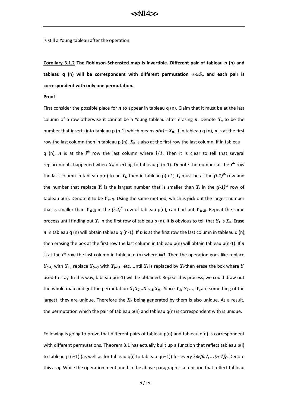is still a Young tableau after the operation.

**Corollary 3.1.2 The Robinson-Schensted map is invertible. Different pair of tableau p (n) and tableau q (n) will be correspondent with different permutation**  $\sigma \in S_n$  **and each pair is correspondent with only one permutation.**

#### **Proof**

First consider the possible place for *n* to appear in tableau q (n). Claim that it must be at the last column of a row otherwise it cannot be a Young tableau after erasing *n*. Denote *X<sup>n</sup>* to be the number that inserts into tableau p (n-1) which means  $\sigma(n)=X_n$ . If in tableau q (n), *n* is at the first row the last column then in tableau p (n), *X<sup>n</sup>* is also at the first row the last column. If in tableau q (n),  $n$  is at the  $i<sup>th</sup>$  row the last column where  $i \neq 1$ . Then it is clear to tell that several replacements happened when  $X_n$  inserting to tableau p (n-1). Denote the number at the  $i^{th}$  row the last column in tableau  $p(n)$  to be  $Y_i$ , then in tableau  $p(n-1)$   $Y_i$  must be at the  $(i-1)^{th}$  row and the number that replace  $Y_i$  is the largest number that is smaller than  $Y_i$  in the  $(i-1)^{th}$  row of tableau p(n). Denote it to be *Y (i-1)*. Using the same method, which is pick out the largest number that is smaller than  $Y_{(i-1)}$  in the  $(i-2)^{th}$  row of tableau  $p(n)$ , can find out  $Y_{(i-2)}$ . Repeat the same process until finding out  $Y_I$  in the first row of tableau p (n). It is obvious to tell that  $Y_I$  is  $X_n$ . Erase *n* in tableau q (n) will obtain tableau q (n-1). If *n* is at the first row the last column in tableau q (n), then erasing the box at the first row the last column in tableau  $p(n)$  will obtain tableau  $p(n-1)$ . If *n* is at the *i th* row the last column in tableau q (n) where *i≠1*. Then the operation goes like replace  $Y_{(i-1)}$  with  $Y_i$ , replace  $Y_{(i-2)}$  with  $Y_{(i-1)}$  etc. Until  $Y_i$  is replaced by  $Y_2$  then erase the box where  $Y_i$ used to stay. In this way, tableau p(n-1) will be obtained. Repeat this process, we could draw out the whole map and get the permutation  $X_1X_2...X_{(n-1)}X_n$ . Since  $Y_1, Y_2...$ ,  $Y_i$  are something of the largest, they are unique. Therefore the *X<sup>n</sup>* being generated by them is also unique. As a result, the permutation which the pair of tableau  $p(n)$  and tableau  $q(n)$  is correspondent with is unique.

Following is going to prove that different pairs of tableau  $p(n)$  and tableau  $q(n)$  is correspondent with different permutations. Theorem 3.1 has actually built up a function that reflect tableau p(i) to tableau p (i+1) (as well as for tableau q(i) to tableau q(i+1)) for every *i*∈*{0,1,…(n-1)}*. Denote this as *g*. While the operation mentioned in the above paragraph is a function that reflect tableau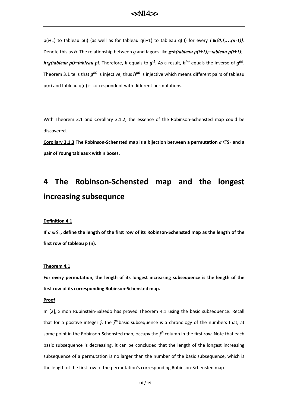p(i+1) to tableau p(i) (as well as for tableau q(i+1) to tableau q(i)) for every  $i \in \{0,1,...(n-1)\}$ . Denote this as *h*. The relationship between *g* and *h* goes like *g•h(tableau p(i+1))=tableau p(i+1)*;  $h$ **·**g(tableau pi)=tableau pi. Therefore, h equals to  $g$ <sup>-1</sup>. As a result,  $h^{(n)}$  equals the inverse of  $g^{(n)}$ . Theorem 3.1 tells that  $g^{(n)}$  is injective, thus  $h^{(n)}$  is injective which means different pairs of tableau p(n) and tableau q(n) is correspondent with different permutations.

With Theorem 3.1 and Corollary 3.1.2, the essence of the Robinson-Schensted map could be discovered.

**Corollary 3.1.3** The Robinson-Schensted map is a bijection between a permutation  $\sigma \in S_n$  and a **pair of Young tableaux with n boxes.**

# **4 The Robinson-Schensted map and the longest increasing subsequnce**

#### **Definition 4.1**

**If** *σ*∈*Sn***, define the length of the first row of its Robinson-Schensted map as the length of the first row of tableau p (n).**

#### **Theorem 4.1**

**For every permutation, the length of its longest increasing subsequence is the length of the first row of its corresponding Robinson-Schensted map.**

#### **Proof**

In [2], Simon Rubinstein-Salzedo has proved Theorem 4.1 using the basic subsequence. Recall that for a positive integer  $j$ , the  $j<sup>th</sup>$  basic subsequence is a chronology of the numbers that, at some point in the Robinson-Schensted map, occupy the *j th* column in the first row. Note that each basic subsequence is decreasing, it can be concluded that the length of the longest increasing subsequence of a permutation is no larger than the number of the basic subsequence, which is the length of the first row of the permutation's corresponding Robinson-Schensted map.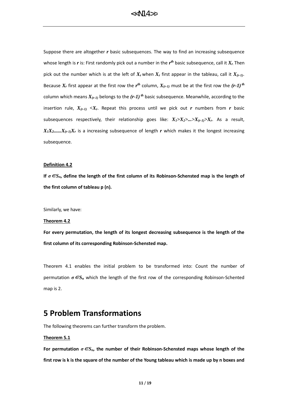Suppose there are altogether *r* basic subsequences. The way to find an increasing subsequence whose length is *r* is: First randomly pick out a number in the *r th* basic subsequence, call it *X<sup>r</sup>*. Then pick out the number which is at the left of  $X_r$  when  $X_r$  first appear in the tableau, call it  $X_{(r-1)}$ . Because  $X_r$  first appear at the first row the  $r^{th}$  column,  $X_{(r-1)}$  must be at the first row the  $(r-1)^{th}$ column which means  $X_{(r-1)}$  belongs to the  $(r-1)^{th}$  basic subsequence. Meanwhile, according to the insertion rule,  $X_{(r-1)} \prec X_r$ . Repeat this process until we pick out *r* numbers from *r* basic subsequences respectively, their relationship goes like:  $X_1 > X_2 > ... > X_{(r-1)} > X_r$ . As a result,  $X_1X_2$ ,  $X_1X_2$ , is a increasing subsequence of length *r* which makes it the longest increasing subsequence.

#### **Definition 4.2**

**If** *σ*∈*Sn***, define the length of the first column of its Robinson-Schensted map is the length of the first column of tableau p (n).**

Similarly, we have:

#### **Theorem 4.2**

**For every permutation, the length of its longest decreasing subsequence is the length of the first column of its corresponding Robinson-Schensted map.**

Theorem 4.1 enables the initial problem to be transformed into: Count the number of permutation *σ*∈*S<sup>n</sup>* which the length of the first row of the corresponding Robinson-Schented map is 2.

### **5 Problem Transformations**

The following theorems can further transform the problem.

#### **Theorem 5.1**

**For permutation** *σ*∈*Sn***, the number of their Robinson-Schensted maps whose length of the first row is k is the square of the number of the Young tableau which is made up by n boxes and**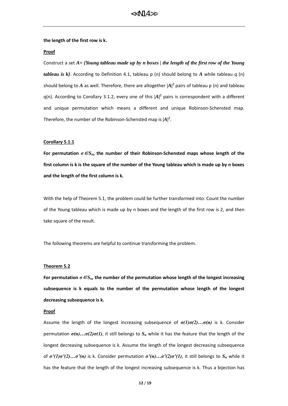#### **the length of the first row is k.**

#### **Proof**

Construct a set *A= {Young tableau made up by n boxes | the length of the first row of the Young tableau is k}*. According to Definition 4.1, tableau p (n) should belong to *A* while tableau q (n) should belong to A as well. Therefore, there are altogether  $|A|^2$  pairs of tableau p (n) and tableau  $q(n)$ . According to Corollary 3.1.2, every one of this  $\left|AP\right|$  pairs is correspondent with a different and unique permutation which means a different and unique Robinson-Schensted map. Therefore, the number of the Robinson-Schensted map is  $\ket{A}^2$ .

#### **Corollary 5.1.1**

**For permutation** *σ*∈*Sn***, the number of their Robinson-Schensted maps whose length of the first column is k is the square of the number of the Young tableau which is made up by n boxes and the length of the first column is k.**

With the help of Theorem 5.1, the problem could be further transformed into: Count the number of the Young tableau which is made up by n boxes and the length of the first row is 2, and then take square of the result.

The following theorems are helpful to continue transforming the problem.

#### **Theorem 5.2**

For permutation  $\sigma \in S_n$ , the number of the permutation whose length of the longest increasing **subsequence is k equals to the number of the permutation whose length of the longest decreasing subsequence is k.** 

#### **Proof**

Assume the length of the longest increasing subsequence of *σ(1)σ(2)…σ(n)* is k. Consider permutation *σ(n)…σ(2)σ(1)*, it still belongs to *S<sup>n</sup>* while it has the feature that the length of the longest decreasing subsequence is k. Assume the length of the longest decreasing subsequence of *σ'(1)σ'(2)…σ'(n)* is k. Consider permutation *σ'(n)…σ'(2)σ'(1)*, it still belongs to *S<sup>n</sup>* while it has the feature that the length of the longest increasing subsequence is k. Thus a bijection has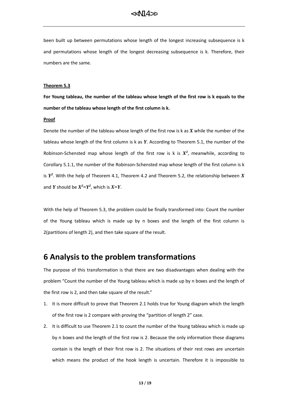been built up between permutations whose length of the longest increasing subsequence is k and permutations whose length of the longest decreasing subsequence is k. Therefore, their numbers are the same.

#### **Theorem 5.3**

**For Young tableau, the number of the tableau whose length of the first row is k equals to the number of the tableau whose length of the first column is k.**

#### **Proof**

Denote the number of the tableau whose length of the first row is k as *X* while the number of the tableau whose length of the first column is k as *Y*. According to Theorem 5.1, the number of the Robinson-Schensted map whose length of the first row is k is  $X^2$ , meanwhile, according to Corollary 5.1.1, the number of the Robinson-Schensted map whose length of the first column is k is *Y 2* . With the help of Theorem 4.1, Theorem 4.2 and Theorem 5.2, the relationship between *X* and *Y* should be  $X^2 = Y^2$ , which is  $X = Y$ .

With the help of Theorem 5.3, the problem could be finally transformed into: Count the number of the Young tableau which is made up by n boxes and the length of the first column is 2(partitions of length 2), and then take square of the result.

### **6 Analysis to the problem transformations**

The purpose of this transformation is that there are two disadvantages when dealing with the problem "Count the number of the Young tableau which is made up by n boxes and the length of the first row is 2, and then take square of the result."

- 1. It is more difficult to prove that Theorem 2.1 holds true for Young diagram which the length of the first row is 2 compare with proving the "partition of length 2" case.
- 2. It is difficult to use Theorem 2.1 to count the number of the Young tableau which is made up by n boxes and the length of the first row is 2. Because the only information those diagrams contain is the length of their first row is 2. The situations of their rest rows are uncertain which means the product of the hook length is uncertain. Therefore it is impossible to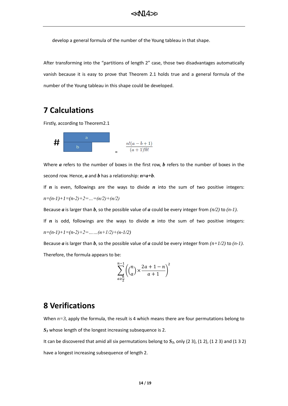develop a general formula of the number of the Young tableau in that shape.

After transforming into the "partitions of length 2" case, those two disadvantages automatically vanish because it is easy to prove that Theorem 2.1 holds true and a general formula of the number of the Young tableau in this shape could be developed.

### **7 Calculations**

Firstly, according to Theorem2.1

$$
\begin{array}{c|c|c|c|c|c|c|c|c} & & & & & & \\ \hline & & & & & & \\ \hline & & & & & & \\ & & & & & & \\ \hline & & & & & & \\ & & & & & & & \\ \end{array}
$$

Where *a* refers to the number of boxes in the first row, *b* refers to the number of boxes in the second row. Hence, *a* and *b* has a relationship: *n=a+b*.

If *n* is even, followings are the ways to divide *n* into the sum of two positive integers: *n=(n-1)+1=(n-2)+2=…=(n/2)+(n/2)*

Because *a* is larger than *b*, so the possible value of *a* could be every integer from  $(n/2)$  to  $(n-1)$ .

If *n* is odd, followings are the ways to divide *n* into the sum of two positive integers: *n=(n-1)+1=(n-2)+2=……(n+1/2)+(n-1/2)*

Because *a* is larger than *b*, so the possible value of *a* could be every integer from  $(n+1/2)$  to  $(n-1)$ . Therefore, the formula appears to be:

$$
\sum_{a \ge \frac{n}{2}}^{n-1} \left( {n \choose a} \times \frac{2a+1-n}{a+1} \right)^2
$$

### **8 Verifications**

When  $n=3$ , apply the formula, the result is 4 which means there are four permutations belong to *S<sup>3</sup>* whose length of the longest increasing subsequence is 2.

It can be discovered that amid all six permutations belong to *S3*, only (2 3), (1 2), (1 2 3) and (1 3 2) have a longest increasing subsequence of length 2.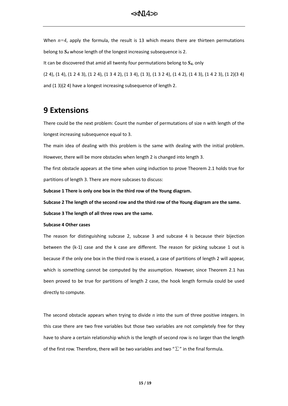When  $n=4$ , apply the formula, the result is 13 which means there are thirteen permutations belong to *S<sup>4</sup>* whose length of the longest increasing subsequence is 2. It can be discovered that amid all twenty four permutations belong to *S4*, only (2 4), (1 4), (1 2 4 3), (1 2 4), (1 3 4 2), (1 3 4), (1 3), (1 3 2 4), (1 4 2), (1 4 3), (1 4 2 3), (1 2)(3 4) and (1 3)(2 4) have a longest increasing subsequence of length 2.

### **9 Extensions**

There could be the next problem: Count the number of permutations of size n with length of the longest increasing subsequence equal to 3.

The main idea of dealing with this problem is the same with dealing with the initial problem. However, there will be more obstacles when length 2 is changed into length 3.

The first obstacle appears at the time when using induction to prove Theorem 2.1 holds true for partitions of length 3. There are more subcases to discuss:

**Subcase 1 There is only one box in the third row of the Young diagram.**

**Subcase 2 The length of the second row and the third row of the Young diagram are the same. Subcase 3 The length of all three rows are the same.**

#### **Subcase 4 Other cases**

The reason for distinguishing subcase 2, subcase 3 and subcase 4 is because their bijection between the (k-1) case and the k case are different. The reason for picking subcase 1 out is because if the only one box in the third row is erased, a case of partitions of length 2 will appear, which is something cannot be computed by the assumption. However, since Theorem 2.1 has been proved to be true for partitions of length 2 case, the hook length formula could be used directly to compute.

The second obstacle appears when trying to divide *n* into the sum of three positive integers. In this case there are two free variables but those two variables are not completely free for they have to share a certain relationship which is the length of second row is no larger than the length of the first row. Therefore, there will be two variables and two " $\Sigma$ " in the final formula.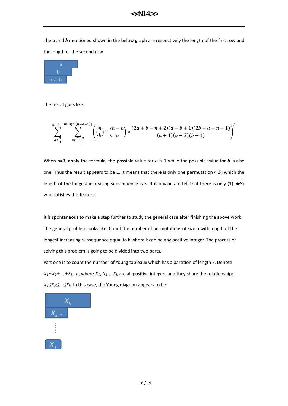The *a* and *b* mentioned shown in the below graph are respectively the length of the first row and the length of the second row.



The result goes like:

$$
\sum_{a \geq \frac{n}{3}}^{n-2} \sum_{b \geq \frac{n-a}{2}}^{\min\{a,(n-a-1)\}} \left( {n \choose b} \times {n-b \choose a} \times \frac{(2a+b-n+2)(a-b+1)(2b+a-n+1)}{(a+1)(a+2)(b+1)} \right)^2
$$

When n=3, apply the formula, the possible value for *a* is 1 while the possible value for *b* is also one. Thus the result appears to be 1. It means that there is only one permutation∈*S<sup>3</sup>* which the length of the longest increasing subsequence is 3. It is obvious to tell that there is only (1)  $\epsilon S_3$ who satisfies this feature.

It is spontaneous to make a step further to study the general case after finishing the above work. The general problem looks like: Count the number of permutations of size n with length of the longest increasing subsequence equal to k where k can be any positive integer. The process of solving this problem is going to be divided into two parts.

Part one is to count the number of Young tableaux which has a partition of length k. Denote  $X_1 + X_2 + ... + X_k = n$ , where  $X_1, X_2, ... X_k$  are all positive integers and they share the relationship: *X1≤X2≤…≤Xk*. In this case, the Young diagram appears to be:

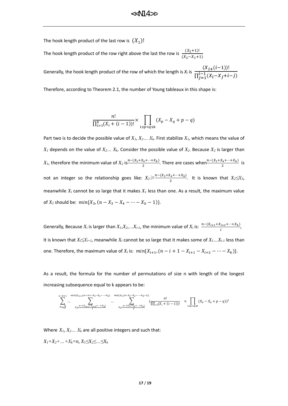The hook length product of the last row is  $(X_1)!$ 

The hook length product of the row right above the last the row is  $\frac{(X_2+1)!}{(X_2-X_1+1)}$ 

Generally, the hook length product of the row of which the length is  $X_i$  is  $\frac{(X_{i+1}(i-1))!}{\prod_{i=1}^{i-1} (X_i - X_{i-1})!}$  $\overline{\prod_{j=1}^{i-1}(X_i-X_j+i-j)}$  $j=1$ 

Therefore, according to Theorem 2.1, the number of Young tableaux in this shape is:

$$
\frac{n!}{\prod_{i=1}^k (X_i + (i-1))!} \times \prod_{1 \le p < q \le k} (X_p - X_q + p - q)
$$

Part two is to decide the possible value of  $X_I, X_2, \ldots, X_k$ . First stabilize  $X_I$ , which means the value of  $X_I$  depends on the value of  $X_2... X_k$ . Consider the possible value of  $X_2$ . Because  $X_2$  is larger than  $X_1$ , therefore the minimum value of  $X_2$  is $\frac{n-(X_3+X_4+\cdots+X_k)}{2}$ . There are cases when $\frac{n-(X_3+X_4+\cdots+X_k)}{2}$  is not an integer so the relationship goes like:  $X_2 \geq \frac{n - (X_3 + X_4 + \dots + X_k)}{2}$  $\frac{X_4 + \cdots + X_k}{2}$ . It is known that  $X_2 \leq X_3$ , meanwhile *X<sup>i</sup>* cannot be so large that it makes *X<sup>1</sup>* less than one. As a result, the maximum value of  $X_2$  should be:  $min\{X_3, (n - X_3 - X_4 - \cdots - X_k - 1)\}.$ 

Generally, Because  $X_i$  is larger than  $X_i, X_2, ... X_{i-l}$ , the minimum value of  $X_i$  is:  $\frac{n-(X_{i+1}+X_{i+2}+...+X_k)}{i}$ , It is known that  $X_i \leq X_{i+1}$ , meanwhile  $X_i$  cannot be so large that it makes some of  $X_1...X_{i-1}$  less than one. Therefore, the maximum value of  $X_i$  is:  $min\{X_{i+1}, (n - i + 1 - X_{i+1} - X_{i+2} - \cdots - X_k)\}.$ 

As a result, the formula for the number of permutations of size n with length of the longest increasing subsequence equal to k appears to be:

$$
\sum_{X_{k\geq \overline{k}}\atop{X_{k\geq \overline{k}}}}^{n-k+1} \cdots \sum_{X_i\geq \frac{n-(X_{i+1}+X_i+2+\cdots+X_k)}{k}}^{min(X_3, (n-X_3-X_4-\cdots-X_k-1))} \cdots \sum_{X_2\geq \frac{n-(X_3+X_4+\cdots+X_k)}{2}}^{min(X_3, (n-X_3-X_4-\cdots-X_k-1))} \Big(\frac{n!}{\prod_{i=1}^k (X_i+(i-1))!} \quad \times \prod_{1\leq p< q\leq k} (X_p-X_q+p-q))^2
$$

Where  $X_1, X_2, \ldots, X_k$  are all positive integers and such that:

*X1+X2+…+Xk=n*, *X1≤X2≤…≤X<sup>k</sup>*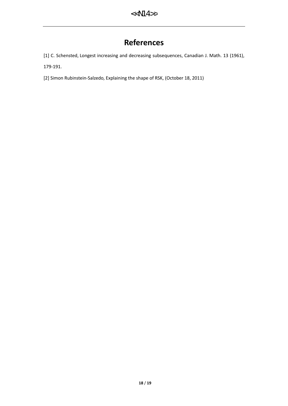### **References**

[1] C. Schensted, Longest increasing and decreasing subsequences, Canadian J. Math. 13 (1961),

179-191.

[2] Simon Rubinstein-Salzedo, Explaining the shape of RSK, (October 18, 2011)